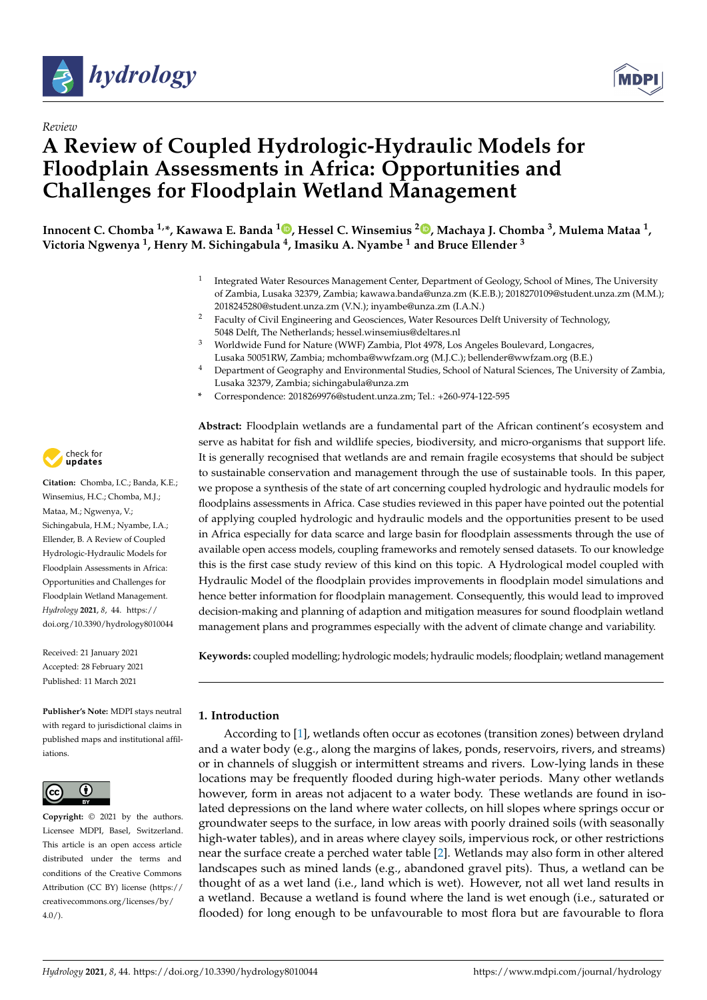



# **A Review of Coupled Hydrologic-Hydraulic Models for Floodplain Assessments in Africa: Opportunities and Challenges for Floodplain Wetland Management**

**Innocent C. Chomba 1,\*, Kawawa E. Banda <sup>1</sup> [,](https://orcid.org/0000-0001-7083-3014) Hessel C. Winsemius <sup>2</sup> [,](https://orcid.org/0000-0001-5471-172X) Machaya J. Chomba <sup>3</sup> , Mulema Mataa <sup>1</sup> , Victoria Ngwenya <sup>1</sup> , Henry M. Sichingabula <sup>4</sup> , Imasiku A. Nyambe <sup>1</sup> and Bruce Ellender <sup>3</sup>**

- 1 Integrated Water Resources Management Center, Department of Geology, School of Mines, The University of Zambia, Lusaka 32379, Zambia; kawawa.banda@unza.zm (K.E.B.); 2018270109@student.unza.zm (M.M.); 2018245280@student.unza.zm (V.N.); inyambe@unza.zm (I.A.N.)
- <sup>2</sup> Faculty of Civil Engineering and Geosciences, Water Resources Delft University of Technology, 5048 Delft, The Netherlands; hessel.winsemius@deltares.nl
- <sup>3</sup> Worldwide Fund for Nature (WWF) Zambia, Plot 4978, Los Angeles Boulevard, Longacres, Lusaka 50051RW, Zambia; mchomba@wwfzam.org (M.J.C.); bellender@wwfzam.org (B.E.)
- <sup>4</sup> Department of Geography and Environmental Studies, School of Natural Sciences, The University of Zambia, Lusaka 32379, Zambia; sichingabula@unza.zm
- **\*** Correspondence: 2018269976@student.unza.zm; Tel.: +260-974-122-595

**Abstract:** Floodplain wetlands are a fundamental part of the African continent's ecosystem and serve as habitat for fish and wildlife species, biodiversity, and micro-organisms that support life. It is generally recognised that wetlands are and remain fragile ecosystems that should be subject to sustainable conservation and management through the use of sustainable tools. In this paper, we propose a synthesis of the state of art concerning coupled hydrologic and hydraulic models for floodplains assessments in Africa. Case studies reviewed in this paper have pointed out the potential of applying coupled hydrologic and hydraulic models and the opportunities present to be used in Africa especially for data scarce and large basin for floodplain assessments through the use of available open access models, coupling frameworks and remotely sensed datasets. To our knowledge this is the first case study review of this kind on this topic. A Hydrological model coupled with Hydraulic Model of the floodplain provides improvements in floodplain model simulations and hence better information for floodplain management. Consequently, this would lead to improved decision-making and planning of adaption and mitigation measures for sound floodplain wetland management plans and programmes especially with the advent of climate change and variability.

**Keywords:** coupled modelling; hydrologic models; hydraulic models; floodplain; wetland management

## **1. Introduction**

According to [\[1\]](#page-9-0), wetlands often occur as ecotones (transition zones) between dryland and a water body (e.g., along the margins of lakes, ponds, reservoirs, rivers, and streams) or in channels of sluggish or intermittent streams and rivers. Low-lying lands in these locations may be frequently flooded during high-water periods. Many other wetlands however, form in areas not adjacent to a water body. These wetlands are found in isolated depressions on the land where water collects, on hill slopes where springs occur or groundwater seeps to the surface, in low areas with poorly drained soils (with seasonally high-water tables), and in areas where clayey soils, impervious rock, or other restrictions near the surface create a perched water table [\[2\]](#page-9-1). Wetlands may also form in other altered landscapes such as mined lands (e.g., abandoned gravel pits). Thus, a wetland can be thought of as a wet land (i.e., land which is wet). However, not all wet land results in a wetland. Because a wetland is found where the land is wet enough (i.e., saturated or flooded) for long enough to be unfavourable to most flora but are favourable to flora



**Citation:** Chomba, I.C.; Banda, K.E.; Winsemius, H.C.; Chomba, M.J.; Mataa, M.; Ngwenya, V.; Sichingabula, H.M.; Nyambe, I.A.; Ellender, B. A Review of Coupled Hydrologic-Hydraulic Models for Floodplain Assessments in Africa: Opportunities and Challenges for Floodplain Wetland Management. *Hydrology* **2021**, *8*, 44. [https://](https://doi.org/10.3390/hydrology8010044) [doi.org/10.3390/hydrology8010044](https://doi.org/10.3390/hydrology8010044)

Received: 21 January 2021 Accepted: 28 February 2021 Published: 11 March 2021

**Publisher's Note:** MDPI stays neutral with regard to jurisdictional claims in published maps and institutional affiliations.



**Copyright:** © 2021 by the authors. Licensee MDPI, Basel, Switzerland. This article is an open access article distributed under the terms and conditions of the Creative Commons Attribution (CC BY) license (https:/[/](https://creativecommons.org/licenses/by/4.0/) [creativecommons.org/licenses/by/](https://creativecommons.org/licenses/by/4.0/)  $4.0/$ ).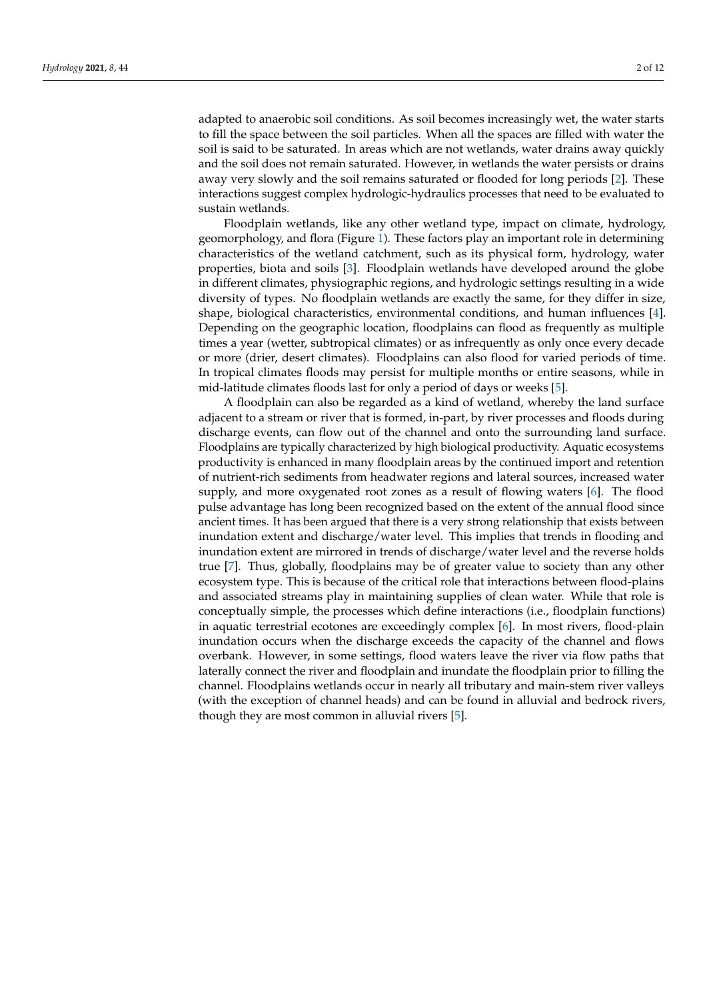adapted to anaerobic soil conditions. As soil becomes increasingly wet, the water starts to fill the space between the soil particles. When all the spaces are filled with water the soil is said to be saturated. In areas which are not wetlands, water drains away quickly and the soil does not remain saturated. However, in wetlands the water persists or drains away very slowly and the soil remains saturated or flooded for long periods [\[2\]](#page-9-1). These interactions suggest complex hydrologic-hydraulics processes that need to be evaluated to sustain wetlands.

Floodplain wetlands, like any other wetland type, impact on climate, hydrology, geomorphology, and flora (Figure [1\)](#page-2-0). These factors play an important role in determining characteristics of the wetland catchment, such as its physical form, hydrology, water properties, biota and soils [\[3\]](#page-9-2). Floodplain wetlands have developed around the globe in different climates, physiographic regions, and hydrologic settings resulting in a wide diversity of types. No floodplain wetlands are exactly the same, for they differ in size, shape, biological characteristics, environmental conditions, and human influences [\[4\]](#page-9-3). Depending on the geographic location, floodplains can flood as frequently as multiple times a year (wetter, subtropical climates) or as infrequently as only once every decade or more (drier, desert climates). Floodplains can also flood for varied periods of time. In tropical climates floods may persist for multiple months or entire seasons, while in mid-latitude climates floods last for only a period of days or weeks [\[5\]](#page-9-4).

A floodplain can also be regarded as a kind of wetland, whereby the land surface adjacent to a stream or river that is formed, in-part, by river processes and floods during discharge events, can flow out of the channel and onto the surrounding land surface. Floodplains are typically characterized by high biological productivity. Aquatic ecosystems productivity is enhanced in many floodplain areas by the continued import and retention of nutrient-rich sediments from headwater regions and lateral sources, increased water supply, and more oxygenated root zones as a result of flowing waters [\[6\]](#page-9-5). The flood pulse advantage has long been recognized based on the extent of the annual flood since ancient times. It has been argued that there is a very strong relationship that exists between inundation extent and discharge/water level. This implies that trends in flooding and inundation extent are mirrored in trends of discharge/water level and the reverse holds true [\[7\]](#page-9-6). Thus, globally, floodplains may be of greater value to society than any other ecosystem type. This is because of the critical role that interactions between flood-plains and associated streams play in maintaining supplies of clean water. While that role is conceptually simple, the processes which define interactions (i.e., floodplain functions) in aquatic terrestrial ecotones are exceedingly complex [\[6\]](#page-9-5). In most rivers, flood-plain inundation occurs when the discharge exceeds the capacity of the channel and flows overbank. However, in some settings, flood waters leave the river via flow paths that laterally connect the river and floodplain and inundate the floodplain prior to filling the channel. Floodplains wetlands occur in nearly all tributary and main-stem river valleys (with the exception of channel heads) and can be found in alluvial and bedrock rivers, though they are most common in alluvial rivers [\[5\]](#page-9-4).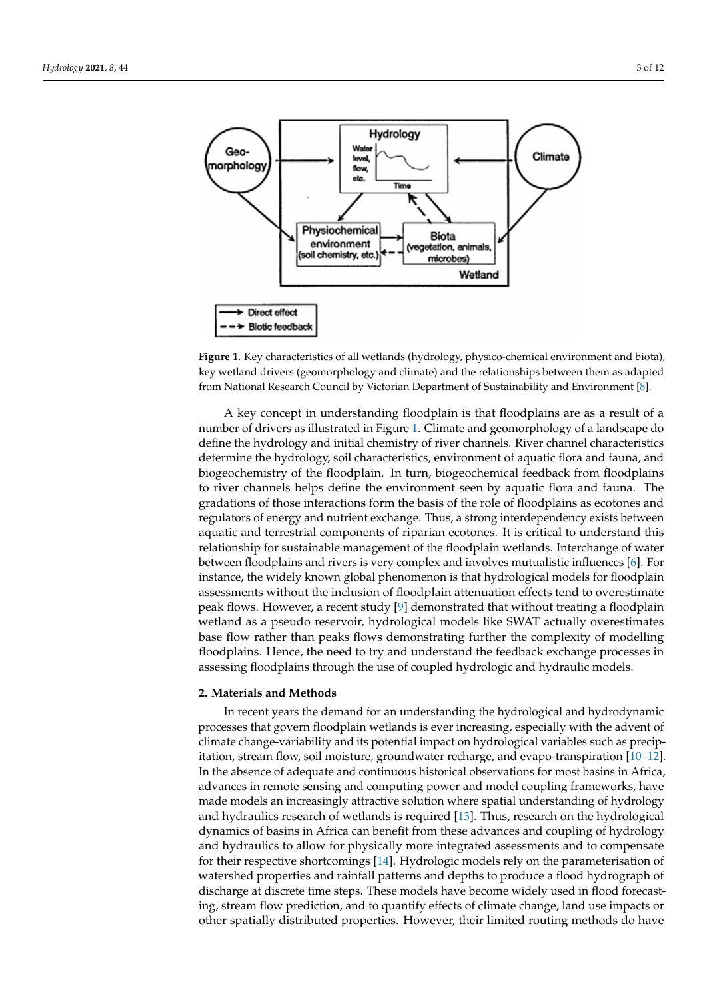<span id="page-2-0"></span>

**Figure 1.** Key characteristics of all wetlands (hydrology, physico-chemical environment and biota), **Figure 1.** Key characteristics of all wetlands (hydrology, physico-chemical environment and biota), key wetland drivers (geomorphology and climate) and the relationships between them as adapted key wetland drivers (geomorphology and climate) and the relationships between them as adapted from National Research Council by Victorian Department of Sustainability and Environment [8]. from National Research Council by Victorian Department of Sustainability and Environment [\[8\]](#page-9-7).

A key concept in understanding floodplain is that floodplains are as a result of a A key concept in understanding floodplain is that floodplains are as a result of a number of drivers as illustrated in Figure 1. Climate and geomorphology of a landscape number of drivers as illustrated in Figure [1.](#page-2-0) Climate and geomorphology of a landscape do define the hydrology and initial chemistry of river channels. River channel characteristics determine the hydrology, soil characteristics, environment of aquatic flora and fauna, and biogeochemistry of the floodplain. In turn, biogeochemical feedback from floodplains to river channels helps define the environment seen by aquatic flora and fauna. The gradations of those interactions form the basis of the role of floodplains as ecotones and regulators of energy and nutrient exchange. Thus, a strong interdependency exists between aquatic and terrestrial components of riparian ecotones. It is critical to understand this relationship for sustainable management of the floodplain wetlands. Interchange of water between floodplains and rivers is very complex and involves mu[tu](#page-9-5)alistic influences [6]. For instance, the widely known global phenomenon is that hydrological models for floodplain assessments without the inclusion of floodplain attenuation effects tend to overestimate peak flows. Ho[we](#page-9-8)ver, a recent study [9] demonstrated that without treating a floodplain wetland as a pseudo reservoir, hydrological models like SWAT actually overestimates base flow rather than peaks flows demonstrating further the complexity of modelling floodplains. Hence, the need to try and understand the feedback exchange processes in assessing floodplains through the use of coupled hydrologic and hydraulic models.

#### draulic models. **2. Materials and Methods**

**2. Materials and Methods** In recent years the demand for an understanding the hydrological and hydrodynamic processes that govern floodplain wetlands is ever increasing, especially with the advent of climate change-variability and its potential impact on hydrological variables such as precip-<br>increased as precip-itation, stream flow, soil moisture, groundwater recharge, and evapo-transpiration [\[10](#page-9-9)[–12\]](#page-9-10). In the absence of adequate and continuous historical observations for most basins in Africa, advances in remote sensing and computing power and model coupling frameworks, have made models an increasingly attractive solution where spatial understanding of hydrology<br> and hydraulics research of wetlands is required [\[13\]](#page-9-11). Thus, research on the hydrological<br>dreaming of hydrological a plannics of basis in time can benefit from these devances and coupling of hydrology and hydraulics to allow for physically more integrated assessments and to compensate and hydramics to dnow for physically more integrated assessments and to compensate<br>for their respective shortcomings [\[14\]](#page-9-12). Hydrologic models rely on the parameterisation of watershed properties and rainfall patterns and depths to produce a flood hydrograph of ments are properties and randally patterns and depths to produce a hood hydrograph of discharge at discrete time steps. These models have become widely used in flood forecasting, stream flow prediction, and to quantify effects of climate change, land use impacts or  $d_{\text{obs}}$  a flood hydrograph of discrete time steps. The discrete time steps. The contribution of discrete time steps. The contribution  $\mu$  and  $\mu$  and  $\mu$ other spatially distributed properties. However, their limited routing methods do have dynamics of basins in Africa can benefit from these advances and coupling of hydrology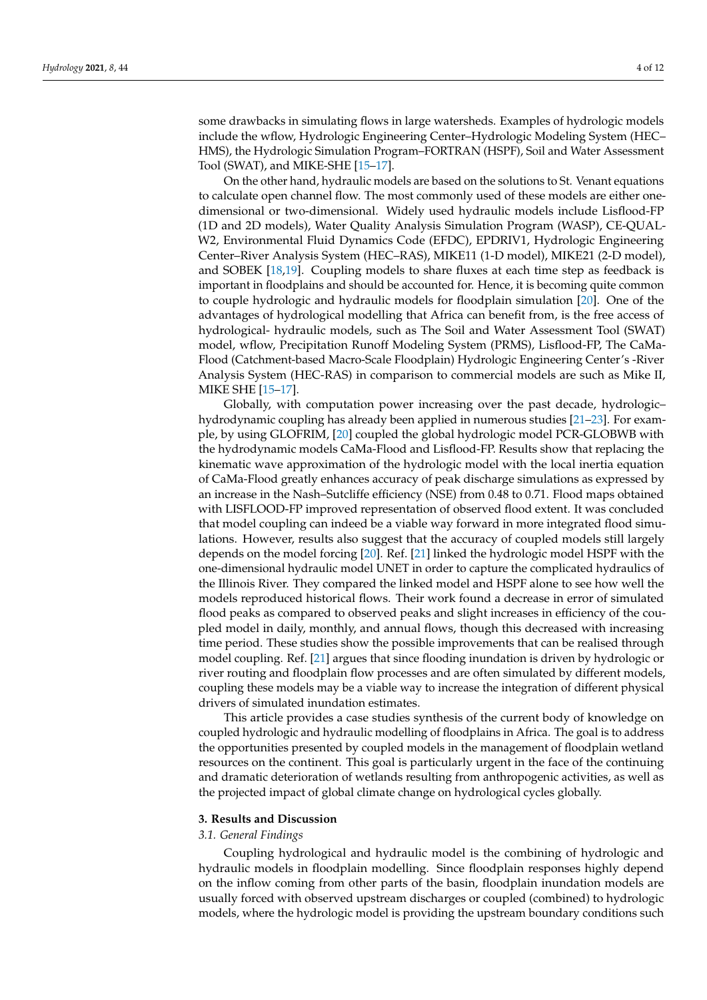some drawbacks in simulating flows in large watersheds. Examples of hydrologic models include the wflow, Hydrologic Engineering Center–Hydrologic Modeling System (HEC– HMS), the Hydrologic Simulation Program–FORTRAN (HSPF), Soil and Water Assessment Tool (SWAT), and MIKE-SHE [\[15–](#page-9-13)[17\]](#page-9-14).

On the other hand, hydraulic models are based on the solutions to St. Venant equations to calculate open channel flow. The most commonly used of these models are either onedimensional or two-dimensional. Widely used hydraulic models include Lisflood-FP (1D and 2D models), Water Quality Analysis Simulation Program (WASP), CE-QUAL-W2, Environmental Fluid Dynamics Code (EFDC), EPDRIV1, Hydrologic Engineering Center–River Analysis System (HEC–RAS), MIKE11 (1-D model), MIKE21 (2-D model), and SOBEK [\[18](#page-9-15)[,19\]](#page-9-16). Coupling models to share fluxes at each time step as feedback is important in floodplains and should be accounted for. Hence, it is becoming quite common to couple hydrologic and hydraulic models for floodplain simulation [\[20\]](#page-9-17). One of the advantages of hydrological modelling that Africa can benefit from, is the free access of hydrological- hydraulic models, such as The Soil and Water Assessment Tool (SWAT) model, wflow, Precipitation Runoff Modeling System (PRMS), Lisflood-FP, The CaMa-Flood (Catchment-based Macro-Scale Floodplain) Hydrologic Engineering Center's -River Analysis System (HEC-RAS) in comparison to commercial models are such as Mike II, MIKE SHE [\[15](#page-9-13)[–17\]](#page-9-14).

Globally, with computation power increasing over the past decade, hydrologic– hydrodynamic coupling has already been applied in numerous studies [\[21–](#page-9-18)[23\]](#page-10-0). For example, by using GLOFRIM, [\[20\]](#page-9-17) coupled the global hydrologic model PCR-GLOBWB with the hydrodynamic models CaMa-Flood and Lisflood-FP. Results show that replacing the kinematic wave approximation of the hydrologic model with the local inertia equation of CaMa-Flood greatly enhances accuracy of peak discharge simulations as expressed by an increase in the Nash–Sutcliffe efficiency (NSE) from 0.48 to 0.71. Flood maps obtained with LISFLOOD-FP improved representation of observed flood extent. It was concluded that model coupling can indeed be a viable way forward in more integrated flood simulations. However, results also suggest that the accuracy of coupled models still largely depends on the model forcing [\[20\]](#page-9-17). Ref. [\[21\]](#page-9-18) linked the hydrologic model HSPF with the one-dimensional hydraulic model UNET in order to capture the complicated hydraulics of the Illinois River. They compared the linked model and HSPF alone to see how well the models reproduced historical flows. Their work found a decrease in error of simulated flood peaks as compared to observed peaks and slight increases in efficiency of the coupled model in daily, monthly, and annual flows, though this decreased with increasing time period. These studies show the possible improvements that can be realised through model coupling. Ref. [\[21\]](#page-9-18) argues that since flooding inundation is driven by hydrologic or river routing and floodplain flow processes and are often simulated by different models, coupling these models may be a viable way to increase the integration of different physical drivers of simulated inundation estimates.

This article provides a case studies synthesis of the current body of knowledge on coupled hydrologic and hydraulic modelling of floodplains in Africa. The goal is to address the opportunities presented by coupled models in the management of floodplain wetland resources on the continent. This goal is particularly urgent in the face of the continuing and dramatic deterioration of wetlands resulting from anthropogenic activities, as well as the projected impact of global climate change on hydrological cycles globally.

#### **3. Results and Discussion**

#### *3.1. General Findings*

Coupling hydrological and hydraulic model is the combining of hydrologic and hydraulic models in floodplain modelling. Since floodplain responses highly depend on the inflow coming from other parts of the basin, floodplain inundation models are usually forced with observed upstream discharges or coupled (combined) to hydrologic models, where the hydrologic model is providing the upstream boundary conditions such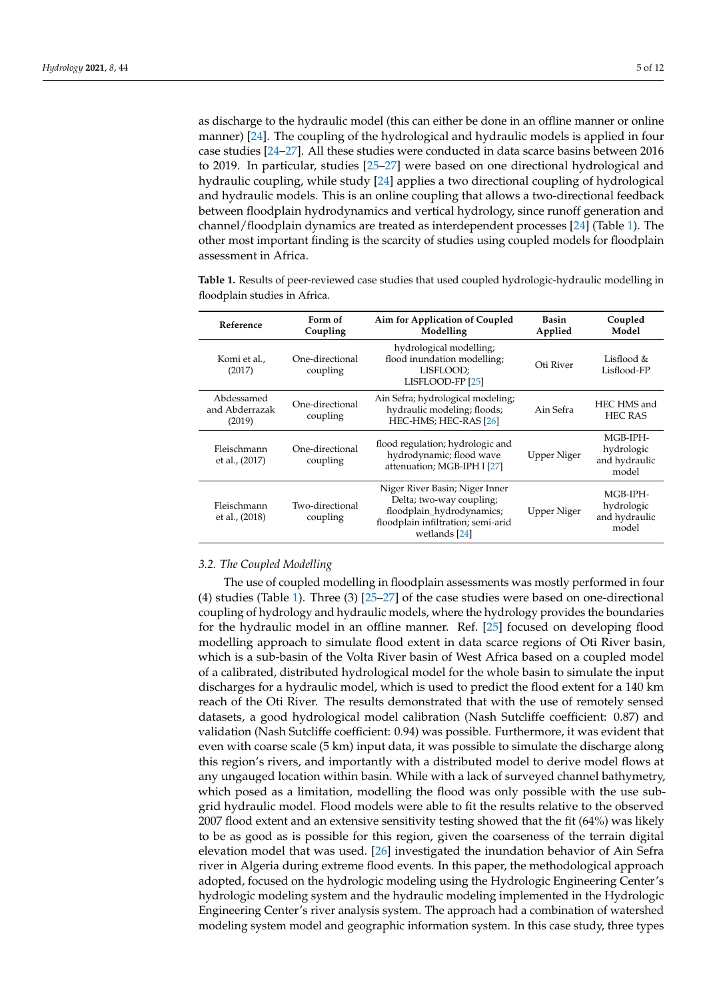as discharge to the hydraulic model (this can either be done in an offline manner or online manner) [\[24\]](#page-10-1). The coupling of the hydrological and hydraulic models is applied in four case studies [\[24](#page-10-1)[–27\]](#page-10-2). All these studies were conducted in data scarce basins between 2016 to 2019. In particular, studies [\[25](#page-10-3)[–27\]](#page-10-2) were based on one directional hydrological and hydraulic coupling, while study [\[24\]](#page-10-1) applies a two directional coupling of hydrological and hydraulic models. This is an online coupling that allows a two-directional feedback between floodplain hydrodynamics and vertical hydrology, since runoff generation and channel/floodplain dynamics are treated as interdependent processes [\[24\]](#page-10-1) (Table [1\)](#page-4-0). The other most important finding is the scarcity of studies using coupled models for floodplain assessment in Africa.

<span id="page-4-0"></span>**Table 1.** Results of peer-reviewed case studies that used coupled hydrologic-hydraulic modelling in floodplain studies in Africa.

| Reference                              | Form of<br>Coupling         | Aim for Application of Coupled<br>Modelling                                                                                                    | Basin<br>Applied | Coupled<br>Model                                 |
|----------------------------------------|-----------------------------|------------------------------------------------------------------------------------------------------------------------------------------------|------------------|--------------------------------------------------|
| Komi et al.,<br>(2017)                 | One-directional<br>coupling | hydrological modelling;<br>flood inundation modelling;<br>LISFLOOD;<br>LISFLOOD-FP [25]                                                        | Oti River        | Lisflood &<br>Lisflood-FP                        |
| Abdessamed<br>and Abderrazak<br>(2019) | One-directional<br>coupling | Ain Sefra; hydrological modeling;<br>hydraulic modeling; floods;<br>HEC-HMS; HEC-RAS [26]                                                      | Ain Sefra        | HEC HMS and<br><b>HEC RAS</b>                    |
| Fleischmann<br>et al., (2017)          | One-directional<br>coupling | flood regulation; hydrologic and<br>hydrodynamic; flood wave<br>attenuation; MGB-IPH 1 [27]                                                    | Upper Niger      | MGB-IPH-<br>hydrologic<br>and hydraulic<br>model |
| Fleischmann<br>et al., (2018)          | Two-directional<br>coupling | Niger River Basin; Niger Inner<br>Delta; two-way coupling;<br>floodplain_hydrodynamics;<br>floodplain infiltration; semi-arid<br>wetlands [24] | Upper Niger      | MGB-IPH-<br>hydrologic<br>and hydraulic<br>model |

### *3.2. The Coupled Modelling*

The use of coupled modelling in floodplain assessments was mostly performed in four (4) studies (Table [1\)](#page-4-0). Three (3) [\[25–](#page-10-3)[27\]](#page-10-2) of the case studies were based on one-directional coupling of hydrology and hydraulic models, where the hydrology provides the boundaries for the hydraulic model in an offline manner. Ref. [\[25\]](#page-10-3) focused on developing flood modelling approach to simulate flood extent in data scarce regions of Oti River basin, which is a sub-basin of the Volta River basin of West Africa based on a coupled model of a calibrated, distributed hydrological model for the whole basin to simulate the input discharges for a hydraulic model, which is used to predict the flood extent for a 140 km reach of the Oti River. The results demonstrated that with the use of remotely sensed datasets, a good hydrological model calibration (Nash Sutcliffe coefficient: 0.87) and validation (Nash Sutcliffe coefficient: 0.94) was possible. Furthermore, it was evident that even with coarse scale (5 km) input data, it was possible to simulate the discharge along this region's rivers, and importantly with a distributed model to derive model flows at any ungauged location within basin. While with a lack of surveyed channel bathymetry, which posed as a limitation, modelling the flood was only possible with the use subgrid hydraulic model. Flood models were able to fit the results relative to the observed 2007 flood extent and an extensive sensitivity testing showed that the fit (64%) was likely to be as good as is possible for this region, given the coarseness of the terrain digital elevation model that was used. [\[26\]](#page-10-4) investigated the inundation behavior of Ain Sefra river in Algeria during extreme flood events. In this paper, the methodological approach adopted, focused on the hydrologic modeling using the Hydrologic Engineering Center's hydrologic modeling system and the hydraulic modeling implemented in the Hydrologic Engineering Center's river analysis system. The approach had a combination of watershed modeling system model and geographic information system. In this case study, three types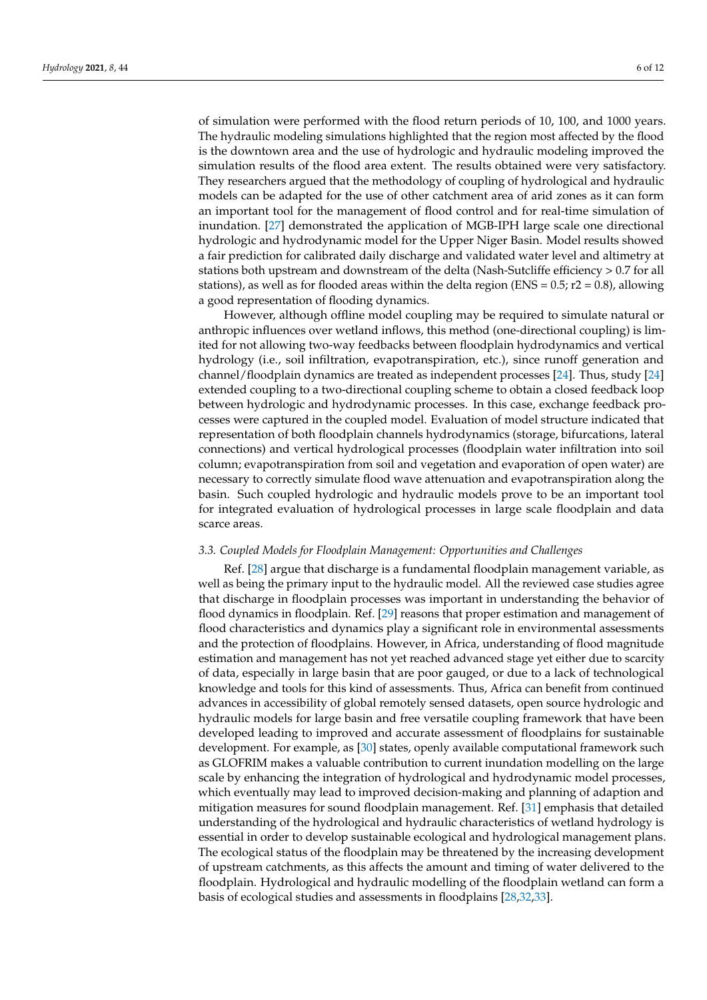of simulation were performed with the flood return periods of 10, 100, and 1000 years. The hydraulic modeling simulations highlighted that the region most affected by the flood is the downtown area and the use of hydrologic and hydraulic modeling improved the simulation results of the flood area extent. The results obtained were very satisfactory. They researchers argued that the methodology of coupling of hydrological and hydraulic models can be adapted for the use of other catchment area of arid zones as it can form an important tool for the management of flood control and for real-time simulation of inundation. [\[27\]](#page-10-2) demonstrated the application of MGB-IPH large scale one directional hydrologic and hydrodynamic model for the Upper Niger Basin. Model results showed a fair prediction for calibrated daily discharge and validated water level and altimetry at stations both upstream and downstream of the delta (Nash-Sutcliffe efficiency > 0.7 for all stations), as well as for flooded areas within the delta region (ENS =  $0.5$ ; r2 =  $0.8$ ), allowing a good representation of flooding dynamics.

However, although offline model coupling may be required to simulate natural or anthropic influences over wetland inflows, this method (one-directional coupling) is limited for not allowing two-way feedbacks between floodplain hydrodynamics and vertical hydrology (i.e., soil infiltration, evapotranspiration, etc.), since runoff generation and channel/floodplain dynamics are treated as independent processes [\[24\]](#page-10-1). Thus, study [\[24\]](#page-10-1) extended coupling to a two-directional coupling scheme to obtain a closed feedback loop between hydrologic and hydrodynamic processes. In this case, exchange feedback processes were captured in the coupled model. Evaluation of model structure indicated that representation of both floodplain channels hydrodynamics (storage, bifurcations, lateral connections) and vertical hydrological processes (floodplain water infiltration into soil column; evapotranspiration from soil and vegetation and evaporation of open water) are necessary to correctly simulate flood wave attenuation and evapotranspiration along the basin. Such coupled hydrologic and hydraulic models prove to be an important tool for integrated evaluation of hydrological processes in large scale floodplain and data scarce areas.

#### *3.3. Coupled Models for Floodplain Management: Opportunities and Challenges*

Ref. [\[28\]](#page-10-5) argue that discharge is a fundamental floodplain management variable, as well as being the primary input to the hydraulic model. All the reviewed case studies agree that discharge in floodplain processes was important in understanding the behavior of flood dynamics in floodplain. Ref. [\[29\]](#page-10-6) reasons that proper estimation and management of flood characteristics and dynamics play a significant role in environmental assessments and the protection of floodplains. However, in Africa, understanding of flood magnitude estimation and management has not yet reached advanced stage yet either due to scarcity of data, especially in large basin that are poor gauged, or due to a lack of technological knowledge and tools for this kind of assessments. Thus, Africa can benefit from continued advances in accessibility of global remotely sensed datasets, open source hydrologic and hydraulic models for large basin and free versatile coupling framework that have been developed leading to improved and accurate assessment of floodplains for sustainable development. For example, as [\[30\]](#page-10-7) states, openly available computational framework such as GLOFRIM makes a valuable contribution to current inundation modelling on the large scale by enhancing the integration of hydrological and hydrodynamic model processes, which eventually may lead to improved decision-making and planning of adaption and mitigation measures for sound floodplain management. Ref. [\[31\]](#page-10-8) emphasis that detailed understanding of the hydrological and hydraulic characteristics of wetland hydrology is essential in order to develop sustainable ecological and hydrological management plans. The ecological status of the floodplain may be threatened by the increasing development of upstream catchments, as this affects the amount and timing of water delivered to the floodplain. Hydrological and hydraulic modelling of the floodplain wetland can form a basis of ecological studies and assessments in floodplains [\[28,](#page-10-5)[32,](#page-10-9)[33\]](#page-10-10).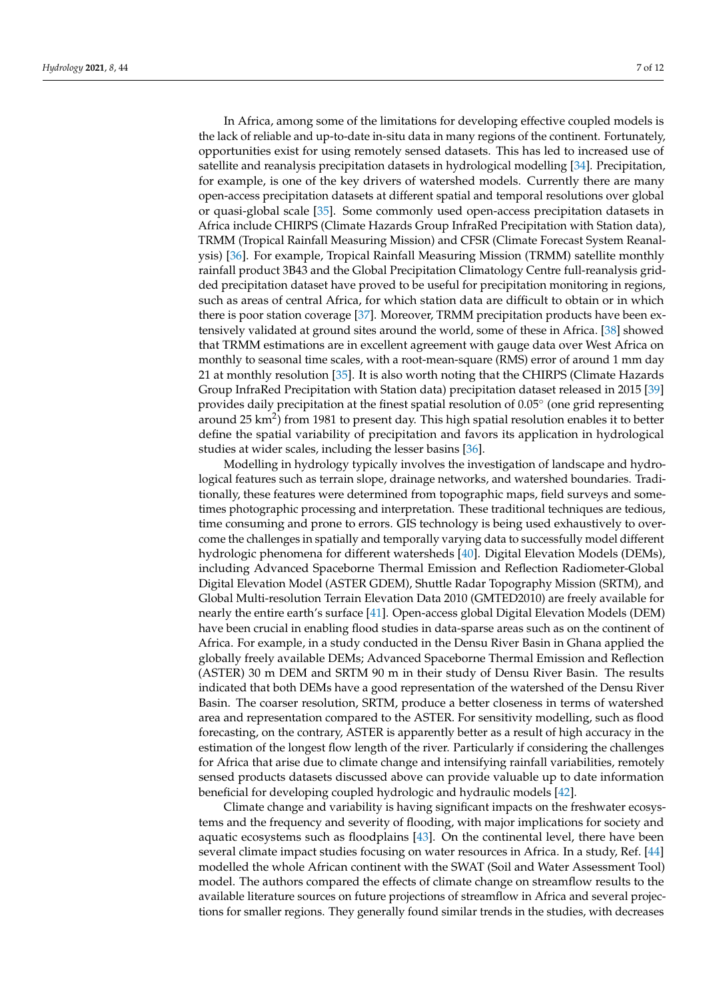In Africa, among some of the limitations for developing effective coupled models is the lack of reliable and up-to-date in-situ data in many regions of the continent. Fortunately, opportunities exist for using remotely sensed datasets. This has led to increased use of satellite and reanalysis precipitation datasets in hydrological modelling [\[34\]](#page-10-11). Precipitation, for example, is one of the key drivers of watershed models. Currently there are many open-access precipitation datasets at different spatial and temporal resolutions over global or quasi-global scale [\[35\]](#page-10-12). Some commonly used open-access precipitation datasets in Africa include CHIRPS (Climate Hazards Group InfraRed Precipitation with Station data), TRMM (Tropical Rainfall Measuring Mission) and CFSR (Climate Forecast System Reanalysis) [\[36\]](#page-10-13). For example, Tropical Rainfall Measuring Mission (TRMM) satellite monthly rainfall product 3B43 and the Global Precipitation Climatology Centre full-reanalysis gridded precipitation dataset have proved to be useful for precipitation monitoring in regions, such as areas of central Africa, for which station data are difficult to obtain or in which there is poor station coverage [\[37\]](#page-10-14). Moreover, TRMM precipitation products have been extensively validated at ground sites around the world, some of these in Africa. [\[38\]](#page-10-15) showed that TRMM estimations are in excellent agreement with gauge data over West Africa on monthly to seasonal time scales, with a root-mean-square (RMS) error of around 1 mm day 21 at monthly resolution [\[35\]](#page-10-12). It is also worth noting that the CHIRPS (Climate Hazards Group InfraRed Precipitation with Station data) precipitation dataset released in 2015 [\[39\]](#page-10-16) provides daily precipitation at the finest spatial resolution of 0.05° (one grid representing around 25 km<sup>2</sup>) from 1981 to present day. This high spatial resolution enables it to better define the spatial variability of precipitation and favors its application in hydrological studies at wider scales, including the lesser basins [\[36\]](#page-10-13).

Modelling in hydrology typically involves the investigation of landscape and hydrological features such as terrain slope, drainage networks, and watershed boundaries. Traditionally, these features were determined from topographic maps, field surveys and sometimes photographic processing and interpretation. These traditional techniques are tedious, time consuming and prone to errors. GIS technology is being used exhaustively to overcome the challenges in spatially and temporally varying data to successfully model different hydrologic phenomena for different watersheds [\[40\]](#page-10-17). Digital Elevation Models (DEMs), including Advanced Spaceborne Thermal Emission and Reflection Radiometer-Global Digital Elevation Model (ASTER GDEM), Shuttle Radar Topography Mission (SRTM), and Global Multi-resolution Terrain Elevation Data 2010 (GMTED2010) are freely available for nearly the entire earth's surface [\[41\]](#page-10-18). Open-access global Digital Elevation Models (DEM) have been crucial in enabling flood studies in data-sparse areas such as on the continent of Africa. For example, in a study conducted in the Densu River Basin in Ghana applied the globally freely available DEMs; Advanced Spaceborne Thermal Emission and Reflection (ASTER) 30 m DEM and SRTM 90 m in their study of Densu River Basin. The results indicated that both DEMs have a good representation of the watershed of the Densu River Basin. The coarser resolution, SRTM, produce a better closeness in terms of watershed area and representation compared to the ASTER. For sensitivity modelling, such as flood forecasting, on the contrary, ASTER is apparently better as a result of high accuracy in the estimation of the longest flow length of the river. Particularly if considering the challenges for Africa that arise due to climate change and intensifying rainfall variabilities, remotely sensed products datasets discussed above can provide valuable up to date information beneficial for developing coupled hydrologic and hydraulic models [\[42\]](#page-10-19).

Climate change and variability is having significant impacts on the freshwater ecosystems and the frequency and severity of flooding, with major implications for society and aquatic ecosystems such as floodplains [\[43\]](#page-10-20). On the continental level, there have been several climate impact studies focusing on water resources in Africa. In a study, Ref. [\[44\]](#page-10-21) modelled the whole African continent with the SWAT (Soil and Water Assessment Tool) model. The authors compared the effects of climate change on streamflow results to the available literature sources on future projections of streamflow in Africa and several projections for smaller regions. They generally found similar trends in the studies, with decreases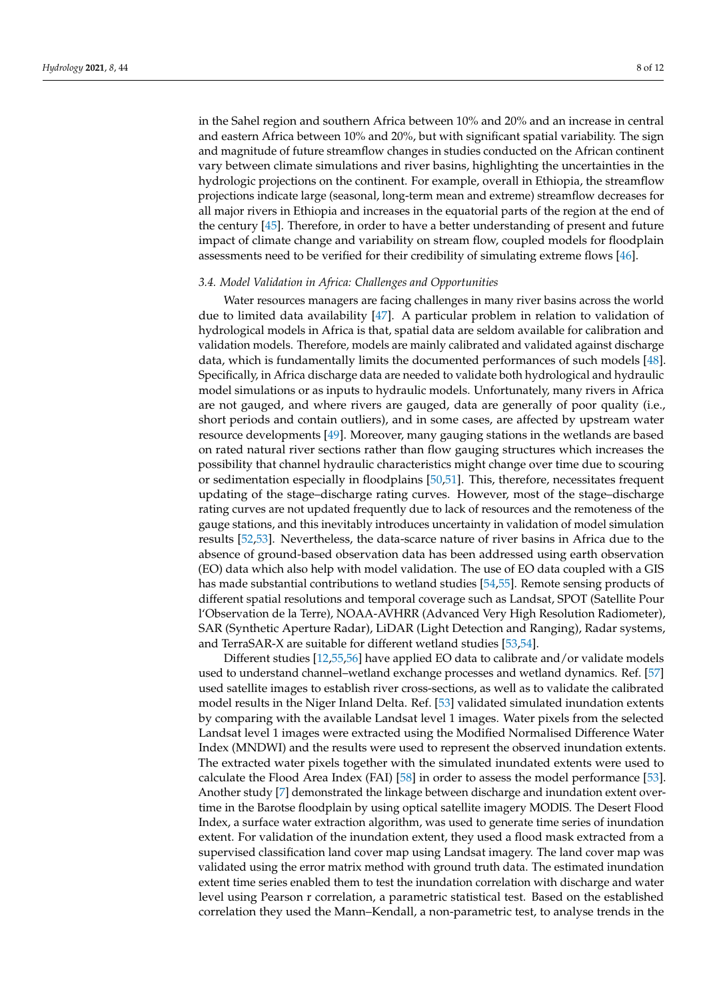in the Sahel region and southern Africa between 10% and 20% and an increase in central and eastern Africa between 10% and 20%, but with significant spatial variability. The sign and magnitude of future streamflow changes in studies conducted on the African continent vary between climate simulations and river basins, highlighting the uncertainties in the hydrologic projections on the continent. For example, overall in Ethiopia, the streamflow projections indicate large (seasonal, long-term mean and extreme) streamflow decreases for all major rivers in Ethiopia and increases in the equatorial parts of the region at the end of the century [\[45\]](#page-10-22). Therefore, in order to have a better understanding of present and future impact of climate change and variability on stream flow, coupled models for floodplain assessments need to be verified for their credibility of simulating extreme flows [\[46\]](#page-10-23).

#### *3.4. Model Validation in Africa: Challenges and Opportunities*

Water resources managers are facing challenges in many river basins across the world due to limited data availability [\[47\]](#page-10-24). A particular problem in relation to validation of hydrological models in Africa is that, spatial data are seldom available for calibration and validation models. Therefore, models are mainly calibrated and validated against discharge data, which is fundamentally limits the documented performances of such models [\[48\]](#page-10-25). Specifically, in Africa discharge data are needed to validate both hydrological and hydraulic model simulations or as inputs to hydraulic models. Unfortunately, many rivers in Africa are not gauged, and where rivers are gauged, data are generally of poor quality (i.e., short periods and contain outliers), and in some cases, are affected by upstream water resource developments [\[49\]](#page-11-0). Moreover, many gauging stations in the wetlands are based on rated natural river sections rather than flow gauging structures which increases the possibility that channel hydraulic characteristics might change over time due to scouring or sedimentation especially in floodplains [\[50,](#page-11-1)[51\]](#page-11-2). This, therefore, necessitates frequent updating of the stage–discharge rating curves. However, most of the stage–discharge rating curves are not updated frequently due to lack of resources and the remoteness of the gauge stations, and this inevitably introduces uncertainty in validation of model simulation results [\[52](#page-11-3)[,53\]](#page-11-4). Nevertheless, the data-scarce nature of river basins in Africa due to the absence of ground-based observation data has been addressed using earth observation (EO) data which also help with model validation. The use of EO data coupled with a GIS has made substantial contributions to wetland studies [\[54](#page-11-5)[,55\]](#page-11-6). Remote sensing products of different spatial resolutions and temporal coverage such as Landsat, SPOT (Satellite Pour l'Observation de la Terre), NOAA-AVHRR (Advanced Very High Resolution Radiometer), SAR (Synthetic Aperture Radar), LiDAR (Light Detection and Ranging), Radar systems, and TerraSAR-X are suitable for different wetland studies [\[53](#page-11-4)[,54\]](#page-11-5).

Different studies [\[12](#page-9-10)[,55](#page-11-6)[,56\]](#page-11-7) have applied EO data to calibrate and/or validate models used to understand channel–wetland exchange processes and wetland dynamics. Ref. [\[57\]](#page-11-8) used satellite images to establish river cross-sections, as well as to validate the calibrated model results in the Niger Inland Delta. Ref. [\[53\]](#page-11-4) validated simulated inundation extents by comparing with the available Landsat level 1 images. Water pixels from the selected Landsat level 1 images were extracted using the Modified Normalised Difference Water Index (MNDWI) and the results were used to represent the observed inundation extents. The extracted water pixels together with the simulated inundated extents were used to calculate the Flood Area Index (FAI) [\[58\]](#page-11-9) in order to assess the model performance [\[53\]](#page-11-4). Another study [\[7\]](#page-9-6) demonstrated the linkage between discharge and inundation extent overtime in the Barotse floodplain by using optical satellite imagery MODIS. The Desert Flood Index, a surface water extraction algorithm, was used to generate time series of inundation extent. For validation of the inundation extent, they used a flood mask extracted from a supervised classification land cover map using Landsat imagery. The land cover map was validated using the error matrix method with ground truth data. The estimated inundation extent time series enabled them to test the inundation correlation with discharge and water level using Pearson r correlation, a parametric statistical test. Based on the established correlation they used the Mann–Kendall, a non-parametric test, to analyse trends in the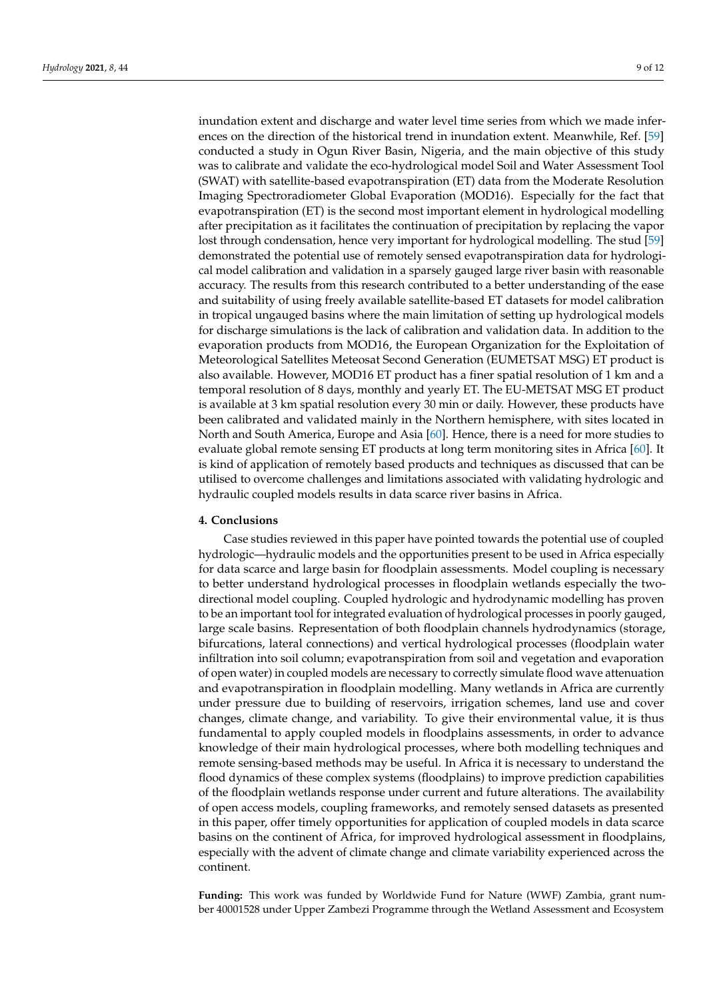inundation extent and discharge and water level time series from which we made inferences on the direction of the historical trend in inundation extent. Meanwhile, Ref. [\[59\]](#page-11-10) conducted a study in Ogun River Basin, Nigeria, and the main objective of this study was to calibrate and validate the eco-hydrological model Soil and Water Assessment Tool (SWAT) with satellite-based evapotranspiration (ET) data from the Moderate Resolution Imaging Spectroradiometer Global Evaporation (MOD16). Especially for the fact that evapotranspiration (ET) is the second most important element in hydrological modelling after precipitation as it facilitates the continuation of precipitation by replacing the vapor lost through condensation, hence very important for hydrological modelling. The stud [\[59\]](#page-11-10) demonstrated the potential use of remotely sensed evapotranspiration data for hydrological model calibration and validation in a sparsely gauged large river basin with reasonable accuracy. The results from this research contributed to a better understanding of the ease and suitability of using freely available satellite-based ET datasets for model calibration in tropical ungauged basins where the main limitation of setting up hydrological models for discharge simulations is the lack of calibration and validation data. In addition to the evaporation products from MOD16, the European Organization for the Exploitation of Meteorological Satellites Meteosat Second Generation (EUMETSAT MSG) ET product is also available. However, MOD16 ET product has a finer spatial resolution of 1 km and a temporal resolution of 8 days, monthly and yearly ET. The EU-METSAT MSG ET product is available at 3 km spatial resolution every 30 min or daily. However, these products have been calibrated and validated mainly in the Northern hemisphere, with sites located in North and South America, Europe and Asia [\[60\]](#page-11-11). Hence, there is a need for more studies to evaluate global remote sensing ET products at long term monitoring sites in Africa [\[60\]](#page-11-11). It is kind of application of remotely based products and techniques as discussed that can be utilised to overcome challenges and limitations associated with validating hydrologic and hydraulic coupled models results in data scarce river basins in Africa.

#### **4. Conclusions**

Case studies reviewed in this paper have pointed towards the potential use of coupled hydrologic—hydraulic models and the opportunities present to be used in Africa especially for data scarce and large basin for floodplain assessments. Model coupling is necessary to better understand hydrological processes in floodplain wetlands especially the twodirectional model coupling. Coupled hydrologic and hydrodynamic modelling has proven to be an important tool for integrated evaluation of hydrological processes in poorly gauged, large scale basins. Representation of both floodplain channels hydrodynamics (storage, bifurcations, lateral connections) and vertical hydrological processes (floodplain water infiltration into soil column; evapotranspiration from soil and vegetation and evaporation of open water) in coupled models are necessary to correctly simulate flood wave attenuation and evapotranspiration in floodplain modelling. Many wetlands in Africa are currently under pressure due to building of reservoirs, irrigation schemes, land use and cover changes, climate change, and variability. To give their environmental value, it is thus fundamental to apply coupled models in floodplains assessments, in order to advance knowledge of their main hydrological processes, where both modelling techniques and remote sensing-based methods may be useful. In Africa it is necessary to understand the flood dynamics of these complex systems (floodplains) to improve prediction capabilities of the floodplain wetlands response under current and future alterations. The availability of open access models, coupling frameworks, and remotely sensed datasets as presented in this paper, offer timely opportunities for application of coupled models in data scarce basins on the continent of Africa, for improved hydrological assessment in floodplains, especially with the advent of climate change and climate variability experienced across the continent.

**Funding:** This work was funded by Worldwide Fund for Nature (WWF) Zambia, grant number 40001528 under Upper Zambezi Programme through the Wetland Assessment and Ecosystem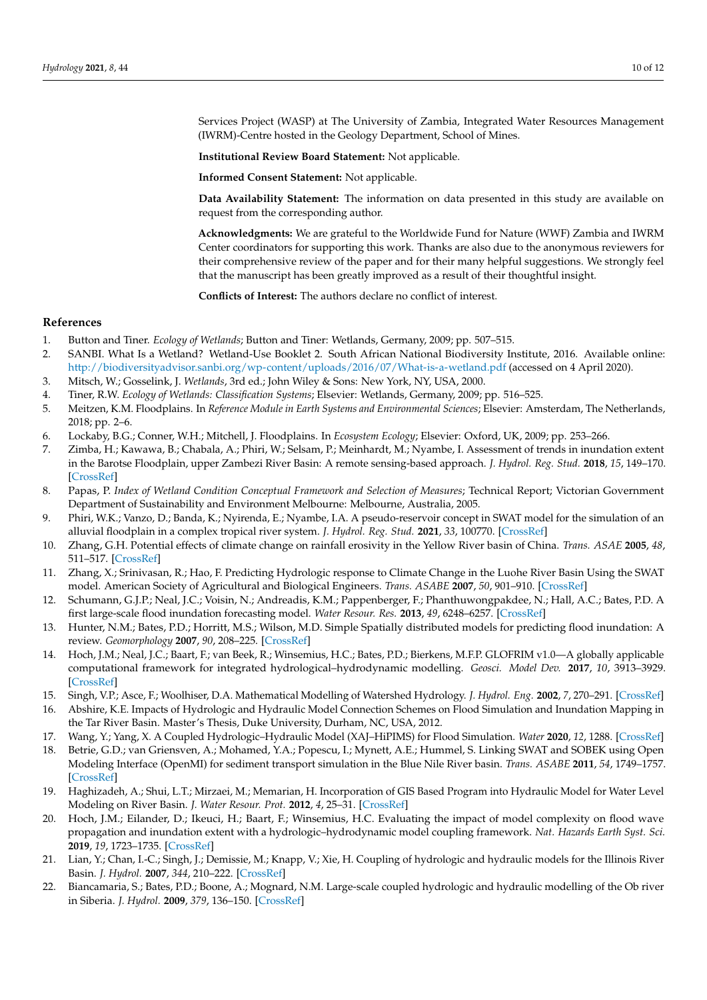Services Project (WASP) at The University of Zambia, Integrated Water Resources Management (IWRM)-Centre hosted in the Geology Department, School of Mines.

**Institutional Review Board Statement:** Not applicable.

**Informed Consent Statement:** Not applicable.

**Data Availability Statement:** The information on data presented in this study are available on request from the corresponding author.

**Acknowledgments:** We are grateful to the Worldwide Fund for Nature (WWF) Zambia and IWRM Center coordinators for supporting this work. Thanks are also due to the anonymous reviewers for their comprehensive review of the paper and for their many helpful suggestions. We strongly feel that the manuscript has been greatly improved as a result of their thoughtful insight.

**Conflicts of Interest:** The authors declare no conflict of interest.

## **References**

- <span id="page-9-0"></span>1. Button and Tiner. *Ecology of Wetlands*; Button and Tiner: Wetlands, Germany, 2009; pp. 507–515.
- <span id="page-9-1"></span>2. SANBI. What Is a Wetland? Wetland-Use Booklet 2. South African National Biodiversity Institute, 2016. Available online: <http://biodiversityadvisor.sanbi.org/wp-content/uploads/2016/07/What-is-a-wetland.pdf> (accessed on 4 April 2020).
- <span id="page-9-2"></span>3. Mitsch, W.; Gosselink, J. *Wetlands*, 3rd ed.; John Wiley & Sons: New York, NY, USA, 2000.
- <span id="page-9-3"></span>4. Tiner, R.W. *Ecology of Wetlands: Classification Systems*; Elsevier: Wetlands, Germany, 2009; pp. 516–525.
- <span id="page-9-4"></span>5. Meitzen, K.M. Floodplains. In *Reference Module in Earth Systems and Environmental Sciences*; Elsevier: Amsterdam, The Netherlands, 2018; pp. 2–6.
- <span id="page-9-5"></span>6. Lockaby, B.G.; Conner, W.H.; Mitchell, J. Floodplains. In *Ecosystem Ecology*; Elsevier: Oxford, UK, 2009; pp. 253–266.
- <span id="page-9-6"></span>7. Zimba, H.; Kawawa, B.; Chabala, A.; Phiri, W.; Selsam, P.; Meinhardt, M.; Nyambe, I. Assessment of trends in inundation extent in the Barotse Floodplain, upper Zambezi River Basin: A remote sensing-based approach. *J. Hydrol. Reg. Stud.* **2018**, *15*, 149–170. [\[CrossRef\]](http://doi.org/10.1016/j.ejrh.2018.01.002)
- <span id="page-9-7"></span>8. Papas, P. *Index of Wetland Condition Conceptual Framework and Selection of Measures*; Technical Report; Victorian Government Department of Sustainability and Environment Melbourne: Melbourne, Australia, 2005.
- <span id="page-9-8"></span>9. Phiri, W.K.; Vanzo, D.; Banda, K.; Nyirenda, E.; Nyambe, I.A. A pseudo-reservoir concept in SWAT model for the simulation of an alluvial floodplain in a complex tropical river system. *J. Hydrol. Reg. Stud.* **2021**, *33*, 100770. [\[CrossRef\]](http://doi.org/10.1016/j.ejrh.2020.100770)
- <span id="page-9-9"></span>10. Zhang, G.H. Potential effects of climate change on rainfall erosivity in the Yellow River basin of China. *Trans. ASAE* **2005**, *48*, 511–517. [\[CrossRef\]](http://doi.org/10.13031/2013.18325)
- 11. Zhang, X.; Srinivasan, R.; Hao, F. Predicting Hydrologic response to Climate Change in the Luohe River Basin Using the SWAT model. American Society of Agricultural and Biological Engineers. *Trans. ASABE* **2007**, *50*, 901–910. [\[CrossRef\]](http://doi.org/10.13031/2013.23154)
- <span id="page-9-10"></span>12. Schumann, G.J.P.; Neal, J.C.; Voisin, N.; Andreadis, K.M.; Pappenberger, F.; Phanthuwongpakdee, N.; Hall, A.C.; Bates, P.D. A first large-scale flood inundation forecasting model. *Water Resour. Res.* **2013**, *49*, 6248–6257. [\[CrossRef\]](http://doi.org/10.1002/wrcr.20521)
- <span id="page-9-11"></span>13. Hunter, N.M.; Bates, P.D.; Horritt, M.S.; Wilson, M.D. Simple Spatially distributed models for predicting flood inundation: A review. *Geomorphology* **2007**, *90*, 208–225. [\[CrossRef\]](http://doi.org/10.1016/j.geomorph.2006.10.021)
- <span id="page-9-12"></span>14. Hoch, J.M.; Neal, J.C.; Baart, F.; van Beek, R.; Winsemius, H.C.; Bates, P.D.; Bierkens, M.F.P. GLOFRIM v1.0—A globally applicable computational framework for integrated hydrological–hydrodynamic modelling. *Geosci. Model Dev.* **2017**, *10*, 3913–3929. [\[CrossRef\]](http://doi.org/10.5194/gmd-10-3913-2017)
- <span id="page-9-13"></span>15. Singh, V.P.; Asce, F.; Woolhiser, D.A. Mathematical Modelling of Watershed Hydrology. *J. Hydrol. Eng.* **2002**, *7*, 270–291. [\[CrossRef\]](http://doi.org/10.1061/(ASCE)1084-0699(2002)7:4(270))
- 16. Abshire, K.E. Impacts of Hydrologic and Hydraulic Model Connection Schemes on Flood Simulation and Inundation Mapping in the Tar River Basin. Master's Thesis, Duke University, Durham, NC, USA, 2012.
- <span id="page-9-14"></span>17. Wang, Y.; Yang, X. A Coupled Hydrologic–Hydraulic Model (XAJ–HiPIMS) for Flood Simulation. *Water* **2020**, *12*, 1288. [\[CrossRef\]](http://doi.org/10.3390/w12051288)
- <span id="page-9-15"></span>18. Betrie, G.D.; van Griensven, A.; Mohamed, Y.A.; Popescu, I.; Mynett, A.E.; Hummel, S. Linking SWAT and SOBEK using Open Modeling Interface (OpenMI) for sediment transport simulation in the Blue Nile River basin. *Trans. ASABE* **2011**, *54*, 1749–1757. [\[CrossRef\]](http://doi.org/10.13031/2013.39847)
- <span id="page-9-16"></span>19. Haghizadeh, A.; Shui, L.T.; Mirzaei, M.; Memarian, H. Incorporation of GIS Based Program into Hydraulic Model for Water Level Modeling on River Basin. *J. Water Resour. Prot.* **2012**, *4*, 25–31. [\[CrossRef\]](http://doi.org/10.4236/jwarp.2012.41004)
- <span id="page-9-17"></span>20. Hoch, J.M.; Eilander, D.; Ikeuci, H.; Baart, F.; Winsemius, H.C. Evaluating the impact of model complexity on flood wave propagation and inundation extent with a hydrologic–hydrodynamic model coupling framework. *Nat. Hazards Earth Syst. Sci.* **2019**, *19*, 1723–1735. [\[CrossRef\]](http://doi.org/10.5194/nhess-19-1723-2019)
- <span id="page-9-18"></span>21. Lian, Y.; Chan, I.-C.; Singh, J.; Demissie, M.; Knapp, V.; Xie, H. Coupling of hydrologic and hydraulic models for the Illinois River Basin. *J. Hydrol.* **2007**, *344*, 210–222. [\[CrossRef\]](http://doi.org/10.1016/j.jhydrol.2007.08.004)
- 22. Biancamaria, S.; Bates, P.D.; Boone, A.; Mognard, N.M. Large-scale coupled hydrologic and hydraulic modelling of the Ob river in Siberia. *J. Hydrol.* **2009**, *379*, 136–150. [\[CrossRef\]](http://doi.org/10.1016/j.jhydrol.2009.09.054)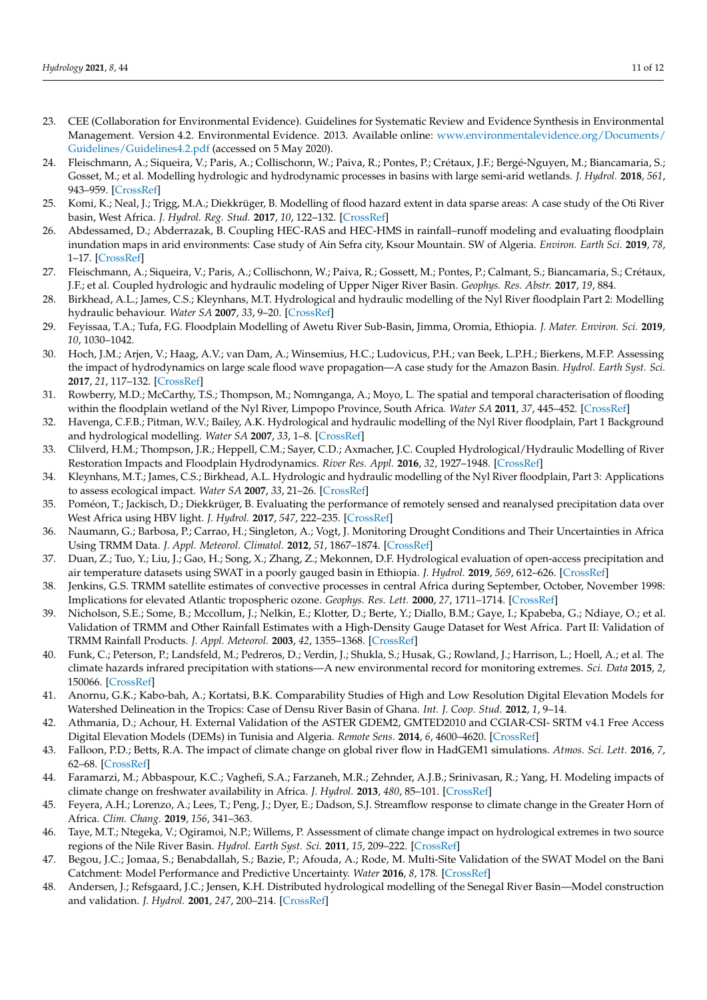- <span id="page-10-0"></span>23. CEE (Collaboration for Environmental Evidence). Guidelines for Systematic Review and Evidence Synthesis in Environmental Management. Version 4.2. Environmental Evidence. 2013. Available online: [www.environmentalevidence.org/Documents/](www.environmentalevidence.org/Documents/Guidelines/Guidelines4.2.pdf) [Guidelines/Guidelines4.2.pdf](www.environmentalevidence.org/Documents/Guidelines/Guidelines4.2.pdf) (accessed on 5 May 2020).
- <span id="page-10-1"></span>24. Fleischmann, A.; Siqueira, V.; Paris, A.; Collischonn, W.; Paiva, R.; Pontes, P.; Crétaux, J.F.; Bergé-Nguyen, M.; Biancamaria, S.; Gosset, M.; et al. Modelling hydrologic and hydrodynamic processes in basins with large semi-arid wetlands. *J. Hydrol.* **2018**, *561*, 943–959. [\[CrossRef\]](http://doi.org/10.1016/j.jhydrol.2018.04.041)
- <span id="page-10-3"></span>25. Komi, K.; Neal, J.; Trigg, M.A.; Diekkrüger, B. Modelling of flood hazard extent in data sparse areas: A case study of the Oti River basin, West Africa. *J. Hydrol. Reg. Stud.* **2017**, *10*, 122–132. [\[CrossRef\]](http://doi.org/10.1016/j.ejrh.2017.03.001)
- <span id="page-10-4"></span>26. Abdessamed, D.; Abderrazak, B. Coupling HEC-RAS and HEC-HMS in rainfall–runoff modeling and evaluating floodplain inundation maps in arid environments: Case study of Ain Sefra city, Ksour Mountain. SW of Algeria. *Environ. Earth Sci.* **2019**, *78*, 1–17. [\[CrossRef\]](http://doi.org/10.1007/s12665-019-8604-6)
- <span id="page-10-2"></span>27. Fleischmann, A.; Siqueira, V.; Paris, A.; Collischonn, W.; Paiva, R.; Gossett, M.; Pontes, P.; Calmant, S.; Biancamaria, S.; Crétaux, J.F.; et al. Coupled hydrologic and hydraulic modeling of Upper Niger River Basin. *Geophys. Res. Abstr.* **2017**, *19*, 884.
- <span id="page-10-5"></span>28. Birkhead, A.L.; James, C.S.; Kleynhans, M.T. Hydrological and hydraulic modelling of the Nyl River floodplain Part 2: Modelling hydraulic behaviour. *Water SA* **2007**, *33*, 9–20. [\[CrossRef\]](http://doi.org/10.4314/wsa.v33i1.47866)
- <span id="page-10-6"></span>29. Feyissaa, T.A.; Tufa, F.G. Floodplain Modelling of Awetu River Sub-Basin, Jimma, Oromia, Ethiopia. *J. Mater. Environ. Sci.* **2019**, *10*, 1030–1042.
- <span id="page-10-7"></span>30. Hoch, J.M.; Arjen, V.; Haag, A.V.; van Dam, A.; Winsemius, H.C.; Ludovicus, P.H.; van Beek, L.P.H.; Bierkens, M.F.P. Assessing the impact of hydrodynamics on large scale flood wave propagation—A case study for the Amazon Basin. *Hydrol. Earth Syst. Sci.* **2017**, *21*, 117–132. [\[CrossRef\]](http://doi.org/10.5194/hess-21-117-2017)
- <span id="page-10-8"></span>31. Rowberry, M.D.; McCarthy, T.S.; Thompson, M.; Nomnganga, A.; Moyo, L. The spatial and temporal characterisation of flooding within the floodplain wetland of the Nyl River, Limpopo Province, South Africa. *Water SA* **2011**, *37*, 445–452. [\[CrossRef\]](http://doi.org/10.4314/wsa.v37i4.3)
- <span id="page-10-9"></span>32. Havenga, C.F.B.; Pitman, W.V.; Bailey, A.K. Hydrological and hydraulic modelling of the Nyl River floodplain, Part 1 Background and hydrological modelling. *Water SA* **2007**, *33*, 1–8. [\[CrossRef\]](http://doi.org/10.4314/wsa.v33i1.47865)
- <span id="page-10-10"></span>33. Clilverd, H.M.; Thompson, J.R.; Heppell, C.M.; Sayer, C.D.; Axmacher, J.C. Coupled Hydrological/Hydraulic Modelling of River Restoration Impacts and Floodplain Hydrodynamics. *River Res. Appl.* **2016**, *32*, 1927–1948. [\[CrossRef\]](http://doi.org/10.1002/rra.3036)
- <span id="page-10-11"></span>34. Kleynhans, M.T.; James, C.S.; Birkhead, A.L. Hydrologic and hydraulic modelling of the Nyl River floodplain, Part 3: Applications to assess ecological impact. *Water SA* **2007**, *33*, 21–26. [\[CrossRef\]](http://doi.org/10.4314/wsa.v33i1.47867)
- <span id="page-10-12"></span>35. Poméon, T.; Jackisch, D.; Diekkrüger, B. Evaluating the performance of remotely sensed and reanalysed precipitation data over West Africa using HBV light. *J. Hydrol.* **2017**, *547*, 222–235. [\[CrossRef\]](http://doi.org/10.1016/j.jhydrol.2017.01.055)
- <span id="page-10-13"></span>36. Naumann, G.; Barbosa, P.; Carrao, H.; Singleton, A.; Vogt, J. Monitoring Drought Conditions and Their Uncertainties in Africa Using TRMM Data. *J. Appl. Meteorol. Climatol.* **2012**, *51*, 1867–1874. [\[CrossRef\]](http://doi.org/10.1175/JAMC-D-12-0113.1)
- <span id="page-10-14"></span>37. Duan, Z.; Tuo, Y.; Liu, J.; Gao, H.; Song, X.; Zhang, Z.; Mekonnen, D.F. Hydrological evaluation of open-access precipitation and air temperature datasets using SWAT in a poorly gauged basin in Ethiopia. *J. Hydrol.* **2019**, *569*, 612–626. [\[CrossRef\]](http://doi.org/10.1016/j.jhydrol.2018.12.026)
- <span id="page-10-15"></span>38. Jenkins, G.S. TRMM satellite estimates of convective processes in central Africa during September, October, November 1998: Implications for elevated Atlantic tropospheric ozone. *Geophys. Res. Lett.* **2000**, *27*, 1711–1714. [\[CrossRef\]](http://doi.org/10.1029/1999GL011026)
- <span id="page-10-16"></span>39. Nicholson, S.E.; Some, B.; Mccollum, J.; Nelkin, E.; Klotter, D.; Berte, Y.; Diallo, B.M.; Gaye, I.; Kpabeba, G.; Ndiaye, O.; et al. Validation of TRMM and Other Rainfall Estimates with a High-Density Gauge Dataset for West Africa. Part II: Validation of TRMM Rainfall Products. *J. Appl. Meteorol.* **2003**, *42*, 1355–1368. [\[CrossRef\]](http://doi.org/10.1175/1520-0450(2003)042<1355:VOTAOR>2.0.CO;2)
- <span id="page-10-17"></span>40. Funk, C.; Peterson, P.; Landsfeld, M.; Pedreros, D.; Verdin, J.; Shukla, S.; Husak, G.; Rowland, J.; Harrison, L.; Hoell, A.; et al. The climate hazards infrared precipitation with stations—A new environmental record for monitoring extremes. *Sci. Data* **2015**, *2*, 150066. [\[CrossRef\]](http://doi.org/10.1038/sdata.2015.66)
- <span id="page-10-18"></span>41. Anornu, G.K.; Kabo-bah, A.; Kortatsi, B.K. Comparability Studies of High and Low Resolution Digital Elevation Models for Watershed Delineation in the Tropics: Case of Densu River Basin of Ghana. *Int. J. Coop. Stud.* **2012**, *1*, 9–14.
- <span id="page-10-19"></span>42. Athmania, D.; Achour, H. External Validation of the ASTER GDEM2, GMTED2010 and CGIAR-CSI- SRTM v4.1 Free Access Digital Elevation Models (DEMs) in Tunisia and Algeria. *Remote Sens.* **2014**, *6*, 4600–4620. [\[CrossRef\]](http://doi.org/10.3390/rs6054600)
- <span id="page-10-20"></span>43. Falloon, P.D.; Betts, R.A. The impact of climate change on global river flow in HadGEM1 simulations. *Atmos. Sci. Lett.* **2016**, *7*, 62–68. [\[CrossRef\]](http://doi.org/10.1002/asl.133)
- <span id="page-10-21"></span>44. Faramarzi, M.; Abbaspour, K.C.; Vaghefi, S.A.; Farzaneh, M.R.; Zehnder, A.J.B.; Srinivasan, R.; Yang, H. Modeling impacts of climate change on freshwater availability in Africa. *J. Hydrol.* **2013**, *480*, 85–101. [\[CrossRef\]](http://doi.org/10.1016/j.jhydrol.2012.12.016)
- <span id="page-10-22"></span>45. Feyera, A.H.; Lorenzo, A.; Lees, T.; Peng, J.; Dyer, E.; Dadson, S.J. Streamflow response to climate change in the Greater Horn of Africa. *Clim. Chang.* **2019**, *156*, 341–363.
- <span id="page-10-23"></span>46. Taye, M.T.; Ntegeka, V.; Ogiramoi, N.P.; Willems, P. Assessment of climate change impact on hydrological extremes in two source regions of the Nile River Basin. *Hydrol. Earth Syst. Sci.* **2011**, *15*, 209–222. [\[CrossRef\]](http://doi.org/10.5194/hess-15-209-2011)
- <span id="page-10-24"></span>47. Begou, J.C.; Jomaa, S.; Benabdallah, S.; Bazie, P.; Afouda, A.; Rode, M. Multi-Site Validation of the SWAT Model on the Bani Catchment: Model Performance and Predictive Uncertainty. *Water* **2016**, *8*, 178. [\[CrossRef\]](http://doi.org/10.3390/w8050178)
- <span id="page-10-25"></span>48. Andersen, J.; Refsgaard, J.C.; Jensen, K.H. Distributed hydrological modelling of the Senegal River Basin—Model construction and validation. *J. Hydrol.* **2001**, *247*, 200–214. [\[CrossRef\]](http://doi.org/10.1016/S0022-1694(01)00384-5)